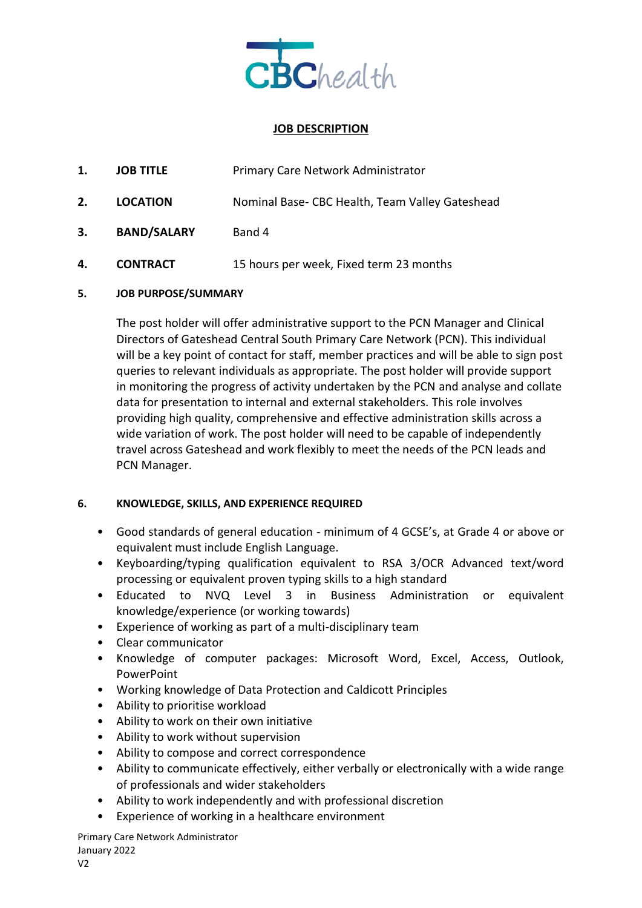

### **JOB DESCRIPTION**

| 1. | <b>JOB TITLE</b>   | Primary Care Network Administrator              |
|----|--------------------|-------------------------------------------------|
| 2. | <b>LOCATION</b>    | Nominal Base- CBC Health, Team Valley Gateshead |
| 3. | <b>BAND/SALARY</b> | Band 4                                          |
| 4. | <b>CONTRACT</b>    | 15 hours per week, Fixed term 23 months         |

#### **5. JOB PURPOSE/SUMMARY**

The post holder will offer administrative support to the PCN Manager and Clinical Directors of Gateshead Central South Primary Care Network (PCN). This individual will be a key point of contact for staff, member practices and will be able to sign post queries to relevant individuals as appropriate. The post holder will provide support in monitoring the progress of activity undertaken by the PCN and analyse and collate data for presentation to internal and external stakeholders. This role involves providing high quality, comprehensive and effective administration skills across a wide variation of work. The post holder will need to be capable of independently travel across Gateshead and work flexibly to meet the needs of the PCN leads and PCN Manager.

#### **6. KNOWLEDGE, SKILLS, AND EXPERIENCE REQUIRED**

- Good standards of general education minimum of 4 GCSE's, at Grade 4 or above or equivalent must include English Language.
- Keyboarding/typing qualification equivalent to RSA 3/OCR Advanced text/word processing or equivalent proven typing skills to a high standard
- Educated to NVQ Level 3 in Business Administration or equivalent knowledge/experience (or working towards)
- Experience of working as part of a multi-disciplinary team
- Clear communicator
- Knowledge of computer packages: Microsoft Word, Excel, Access, Outlook, PowerPoint
- Working knowledge of Data Protection and Caldicott Principles
- Ability to prioritise workload
- Ability to work on their own initiative
- Ability to work without supervision
- Ability to compose and correct correspondence
- Ability to communicate effectively, either verbally or electronically with a wide range of professionals and wider stakeholders
- Ability to work independently and with professional discretion
- Experience of working in a healthcare environment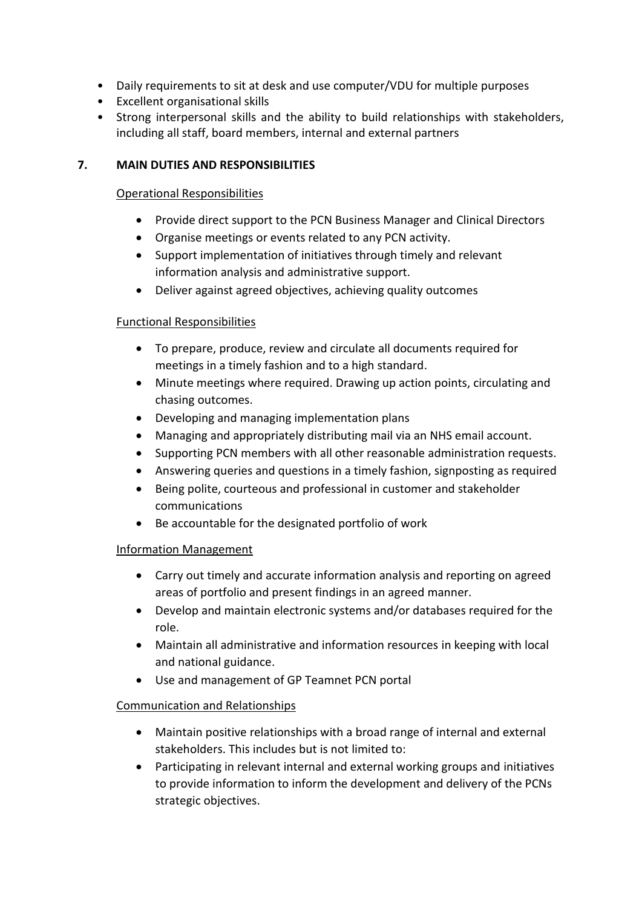- Daily requirements to sit at desk and use computer/VDU for multiple purposes
- Excellent organisational skills
- Strong interpersonal skills and the ability to build relationships with stakeholders, including all staff, board members, internal and external partners

# **7. MAIN DUTIES AND RESPONSIBILITIES**

# Operational Responsibilities

- Provide direct support to the PCN Business Manager and Clinical Directors
- Organise meetings or events related to any PCN activity.
- Support implementation of initiatives through timely and relevant information analysis and administrative support.
- Deliver against agreed objectives, achieving quality outcomes

## Functional Responsibilities

- To prepare, produce, review and circulate all documents required for meetings in a timely fashion and to a high standard.
- Minute meetings where required. Drawing up action points, circulating and chasing outcomes.
- Developing and managing implementation plans
- Managing and appropriately distributing mail via an NHS email account.
- Supporting PCN members with all other reasonable administration requests.
- Answering queries and questions in a timely fashion, signposting as required
- Being polite, courteous and professional in customer and stakeholder communications
- Be accountable for the designated portfolio of work

## Information Management

- Carry out timely and accurate information analysis and reporting on agreed areas of portfolio and present findings in an agreed manner.
- Develop and maintain electronic systems and/or databases required for the role.
- Maintain all administrative and information resources in keeping with local and national guidance.
- Use and management of GP Teamnet PCN portal

## Communication and Relationships

- Maintain positive relationships with a broad range of internal and external stakeholders. This includes but is not limited to:
- Participating in relevant internal and external working groups and initiatives to provide information to inform the development and delivery of the PCNs strategic objectives.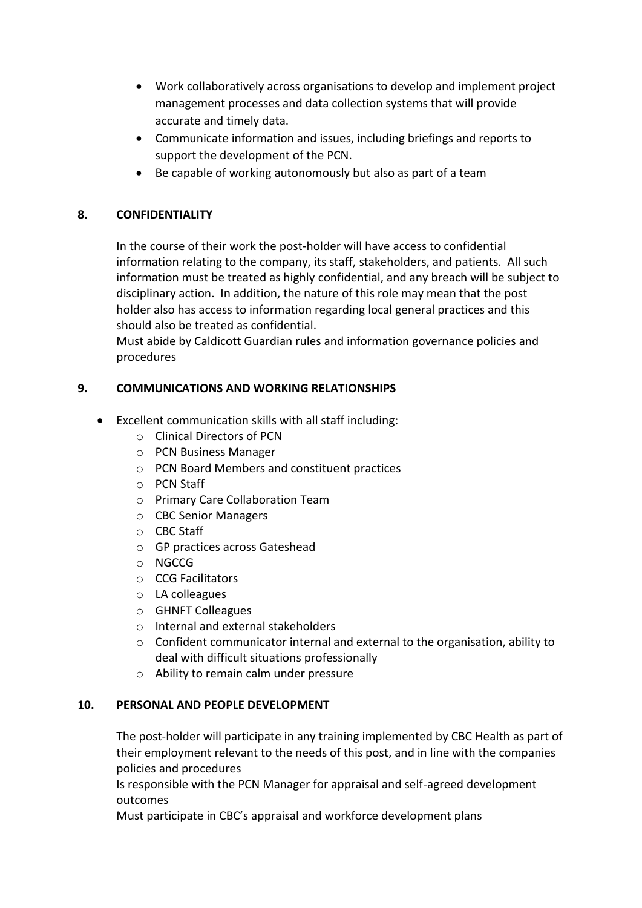- Work collaboratively across organisations to develop and implement project management processes and data collection systems that will provide accurate and timely data.
- Communicate information and issues, including briefings and reports to support the development of the PCN.
- Be capable of working autonomously but also as part of a team

# **8. CONFIDENTIALITY**

In the course of their work the post-holder will have access to confidential information relating to the company, its staff, stakeholders, and patients. All such information must be treated as highly confidential, and any breach will be subject to disciplinary action. In addition, the nature of this role may mean that the post holder also has access to information regarding local general practices and this should also be treated as confidential.

Must abide by Caldicott Guardian rules and information governance policies and procedures

## **9. COMMUNICATIONS AND WORKING RELATIONSHIPS**

- Excellent communication skills with all staff including:
	- o Clinical Directors of PCN
	- o PCN Business Manager
	- o PCN Board Members and constituent practices
	- o PCN Staff
	- o Primary Care Collaboration Team
	- o CBC Senior Managers
	- o CBC Staff
	- o GP practices across Gateshead
	- o NGCCG
	- o CCG Facilitators
	- o LA colleagues
	- o GHNFT Colleagues
	- o Internal and external stakeholders
	- o Confident communicator internal and external to the organisation, ability to deal with difficult situations professionally
	- o Ability to remain calm under pressure

## **10. PERSONAL AND PEOPLE DEVELOPMENT**

The post-holder will participate in any training implemented by CBC Health as part of their employment relevant to the needs of this post, and in line with the companies policies and procedures

Is responsible with the PCN Manager for appraisal and self-agreed development outcomes

Must participate in CBC's appraisal and workforce development plans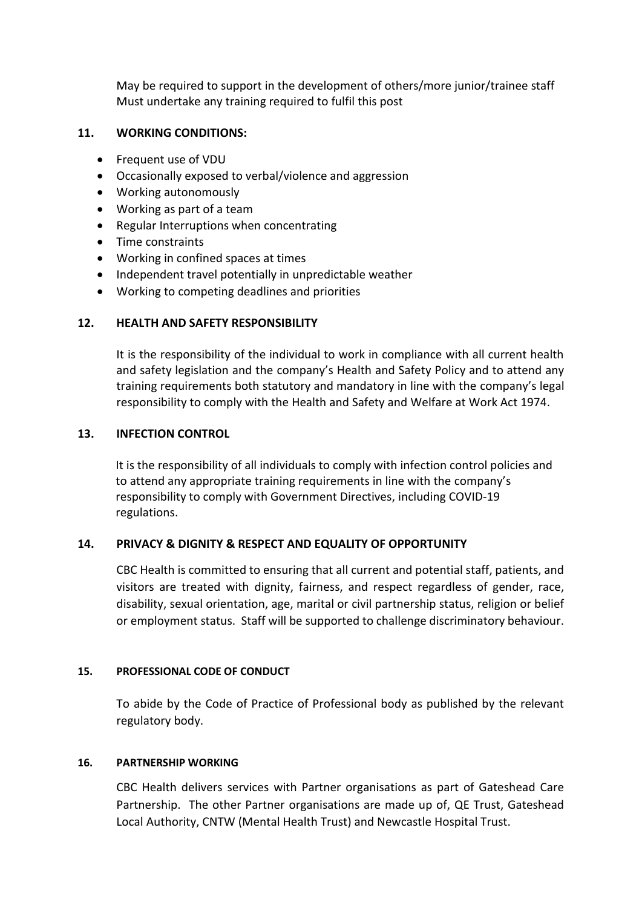May be required to support in the development of others/more junior/trainee staff Must undertake any training required to fulfil this post

### **11. WORKING CONDITIONS:**

- Frequent use of VDU
- Occasionally exposed to verbal/violence and aggression
- Working autonomously
- Working as part of a team
- Regular Interruptions when concentrating
- Time constraints
- Working in confined spaces at times
- Independent travel potentially in unpredictable weather
- Working to competing deadlines and priorities

### **12. HEALTH AND SAFETY RESPONSIBILITY**

It is the responsibility of the individual to work in compliance with all current health and safety legislation and the company's Health and Safety Policy and to attend any training requirements both statutory and mandatory in line with the company's legal responsibility to comply with the Health and Safety and Welfare at Work Act 1974.

#### **13. INFECTION CONTROL**

It is the responsibility of all individuals to comply with infection control policies and to attend any appropriate training requirements in line with the company's responsibility to comply with Government Directives, including COVID-19 regulations.

#### **14. PRIVACY & DIGNITY & RESPECT AND EQUALITY OF OPPORTUNITY**

CBC Health is committed to ensuring that all current and potential staff, patients, and visitors are treated with dignity, fairness, and respect regardless of gender, race, disability, sexual orientation, age, marital or civil partnership status, religion or belief or employment status. Staff will be supported to challenge discriminatory behaviour.

#### **15. PROFESSIONAL CODE OF CONDUCT**

To abide by the Code of Practice of Professional body as published by the relevant regulatory body.

#### **16. PARTNERSHIP WORKING**

CBC Health delivers services with Partner organisations as part of Gateshead Care Partnership. The other Partner organisations are made up of, QE Trust, Gateshead Local Authority, CNTW (Mental Health Trust) and Newcastle Hospital Trust.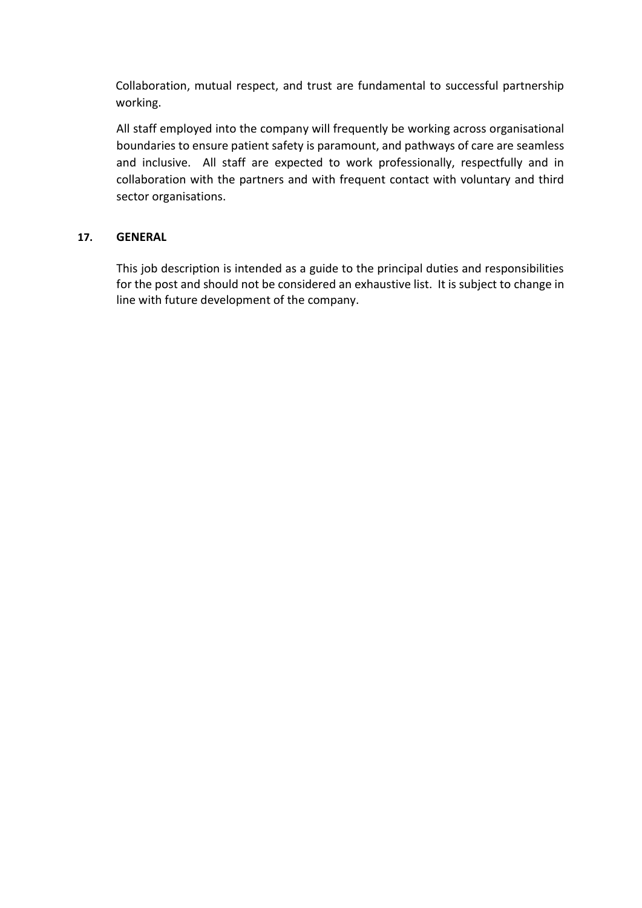Collaboration, mutual respect, and trust are fundamental to successful partnership working.

All staff employed into the company will frequently be working across organisational boundaries to ensure patient safety is paramount, and pathways of care are seamless and inclusive. All staff are expected to work professionally, respectfully and in collaboration with the partners and with frequent contact with voluntary and third sector organisations.

### **17. GENERAL**

This job description is intended as a guide to the principal duties and responsibilities for the post and should not be considered an exhaustive list. It is subject to change in line with future development of the company.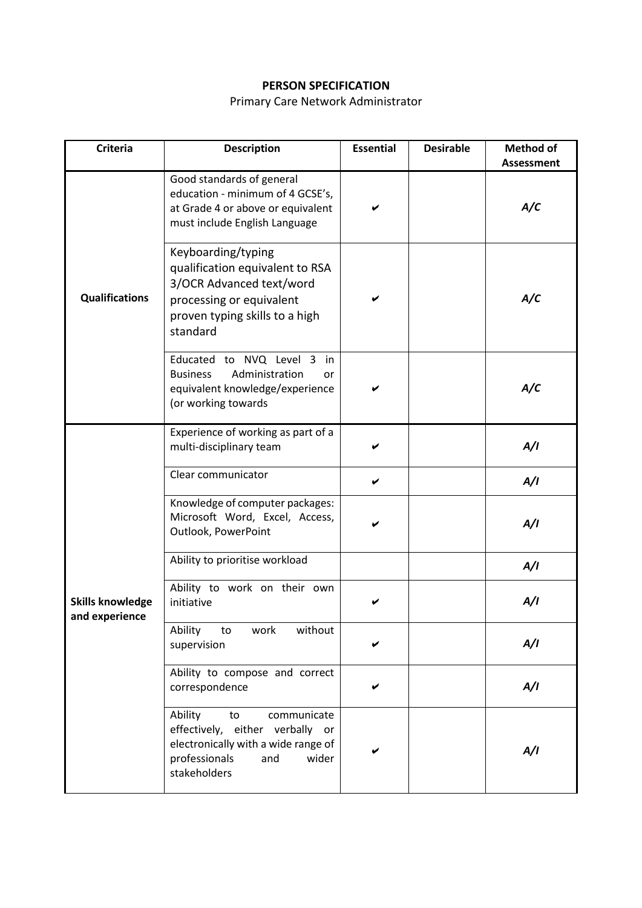# **PERSON SPECIFICATION**

# Primary Care Network Administrator

| <b>Criteria</b>                           | <b>Description</b>                                                                                                                                          | <b>Essential</b> | <b>Desirable</b> | Method of<br><b>Assessment</b> |
|-------------------------------------------|-------------------------------------------------------------------------------------------------------------------------------------------------------------|------------------|------------------|--------------------------------|
|                                           | Good standards of general<br>education - minimum of 4 GCSE's,<br>at Grade 4 or above or equivalent<br>must include English Language                         |                  |                  | A/C                            |
| <b>Qualifications</b>                     | Keyboarding/typing<br>qualification equivalent to RSA<br>3/OCR Advanced text/word<br>processing or equivalent<br>proven typing skills to a high<br>standard |                  |                  | A/C                            |
|                                           | Educated to NVQ Level 3 in<br><b>Business</b><br>Administration<br>or<br>equivalent knowledge/experience<br>(or working towards                             |                  |                  | A/C                            |
|                                           | Experience of working as part of a<br>multi-disciplinary team                                                                                               |                  |                  | A/I                            |
|                                           | Clear communicator                                                                                                                                          | V                |                  | A/I                            |
|                                           | Knowledge of computer packages:<br>Microsoft Word, Excel, Access,<br>Outlook, PowerPoint                                                                    |                  |                  | A/I                            |
|                                           | Ability to prioritise workload                                                                                                                              |                  |                  | A/I                            |
| <b>Skills knowledge</b><br>and experience | Ability to work on their own<br>initiative                                                                                                                  |                  |                  | A/I                            |
|                                           | Ability<br>without<br>to<br>work<br>supervision                                                                                                             |                  |                  | A/I                            |
|                                           | Ability to compose and correct<br>correspondence                                                                                                            |                  |                  | A/I                            |
|                                           | Ability<br>communicate<br>to<br>effectively, either verbally or<br>electronically with a wide range of<br>professionals<br>and<br>wider<br>stakeholders     |                  |                  | A/I                            |